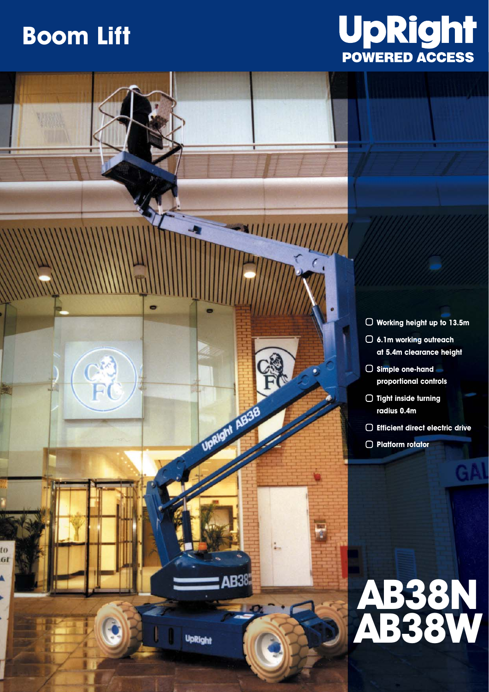## **Boom Lift**





- **Working height up to 13.5m 6.1m working outreach**
- **at 5.4m clearance height**
- **Simple one-hand proportional controls**
- **Tight inside turning radius 0.4m**
- **Efficient direct electric drive**
- **Platform rotator**